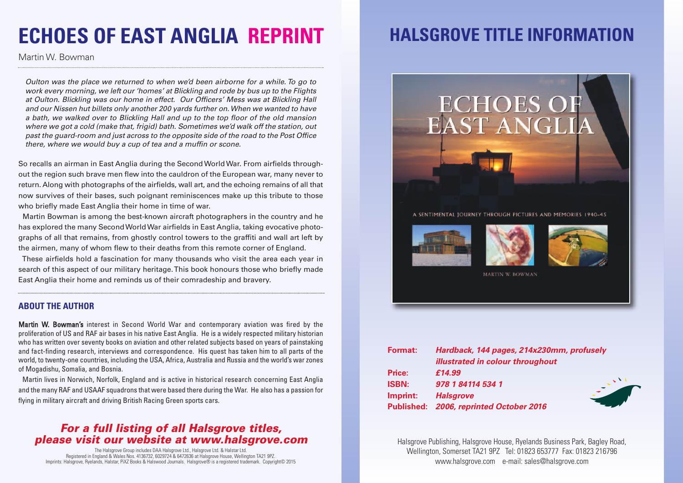# **ECHOES OF EAST ANGLIA REPRINT**

Martin W. Bowman

Oulton was the place we returned to when we'd been airborne for a while. To go to work every morning, we left our 'homes' at Blickling and rode by bus up to the Flights at Oulton. Blickling was our home in effect. Our Officers' Mess was at Blickling Hall and our Nissen hut billets only another 200 yards further on.When we wanted to have a bath, we walked over to Blickling Hall and up to the top floor of the old mansion where we got a cold (make that, frigid) bath. Sometimes we'd walk off the station, out past the guard-room and just across to the opposite side of the road to the Post Office there, where we would buy a cup of tea and a muffin or scone.

So recalls an airman in East Anglia during the Second World War. From airfields throughout the region such brave men flew into the cauldron of the European war, many never to return. Along with photographs of the airfields, wall art, and the echoing remains of all that now survives of their bases, such poignant reminiscences make up this tribute to those who briefly made East Anglia their home in time of war.

Martin Bowman is among the best-known aircraft photographers in the country and he has explored the many SecondWorldWar airfields in East Anglia, taking evocative photographs of all that remains, from ghostly control towers to the graffiti and wall art left by the airmen, many of whom flew to their deaths from this remote corner of England.

These airfields hold a fascination for many thousands who visit the area each year in search of this aspect of our military heritage.This book honours those who briefly made East Anglia their home and reminds us of their comradeship and bravery.

#### **ABOUT THE AUTHOR**

Martin W. Bowman's interest in Second World War and contemporary aviation was fired by the proliferation of US and RAF air bases in his native East Anglia. He is a widely respected military historian who has written over seventy books on aviation and other related subjects based on years of painstaking and fact-finding research, interviews and correspondence. His quest has taken him to all parts of the world, to twenty-one countries, including the USA, Africa, Australia and Russia and the world's war zones of Mogadishu, Somalia, and Bosnia.

Martin lives in Norwich, Norfolk, England and is active in historical research concerning East Anglia and the many RAF and USAAF squadrons that were based there during the War. He also has a passion for flying in military aircraft and driving British Racing Green sports cars.

### *For a full listing of all Halsgrove titles, please visit our website at www.halsgrove.com*

The Halsgrove Group includes DAA Halsgrove Ltd., Halsgrove Ltd. & Halstar Ltd. Registered in England & Wales Nos. 4136732, 6029724 & 6472636 at Halsgrove House, Wellington TA21 9PZ. Imprints: Halsgrove, Ryelands, Halstar, PiXZ Books & Halswood Journals. Halsgrove® is a registered trademark. Copyright© 2015

## **HALSGROVE TITLE INFORMATION**



| Price:       | £14.99                                  |  |
|--------------|-----------------------------------------|--|
| <b>ISBN:</b> | 978 1 84114 534 1                       |  |
| Imprint:     | <b>Halsgrove</b>                        |  |
|              | Published: 2006, reprinted October 2016 |  |

Halsgrove Publishing, Halsgrove House, Ryelands Business Park, Bagley Road, Wellington, Somerset TA21 9PZ Tel: 01823 653777 Fax: 01823 216796 www.halsgrove.com e-mail: sales@halsgrove.com